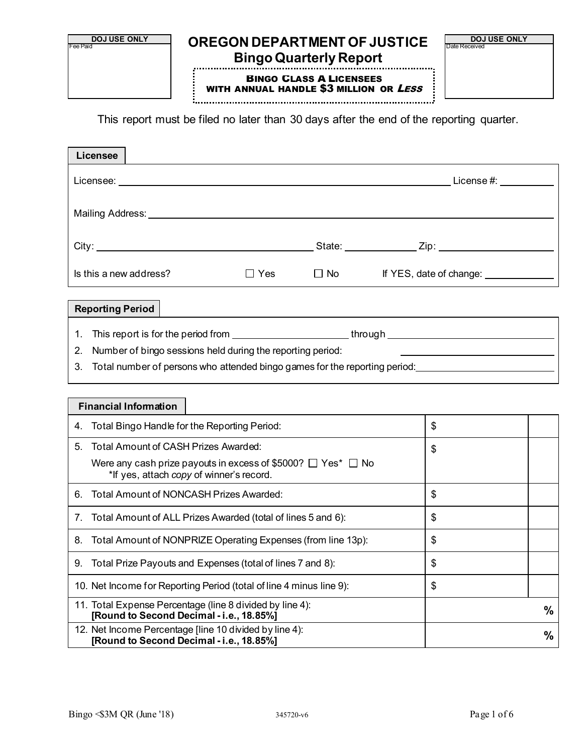

This report must be filed no later than 30 days after the end of the reporting quarter.

| <b>Licensee</b>                                                                                                    |            |                  |                                                                                                                      |               |
|--------------------------------------------------------------------------------------------------------------------|------------|------------------|----------------------------------------------------------------------------------------------------------------------|---------------|
|                                                                                                                    |            |                  |                                                                                                                      |               |
|                                                                                                                    |            |                  |                                                                                                                      |               |
|                                                                                                                    |            |                  |                                                                                                                      |               |
| Is this a new address?                                                                                             | $\Box$ Yes | $\Box$ No $\Box$ | If YES, date of change: ______________                                                                               |               |
| <b>Reporting Period</b>                                                                                            |            |                  |                                                                                                                      |               |
| 1.                                                                                                                 |            |                  |                                                                                                                      |               |
| Number of bingo sessions held during the reporting period:<br>2.                                                   |            |                  |                                                                                                                      |               |
| 3.                                                                                                                 |            |                  | Total number of persons who attended bingo games for the reporting period: <u>__________________________________</u> |               |
| <b>Financial Information</b>                                                                                       |            |                  |                                                                                                                      |               |
|                                                                                                                    |            |                  |                                                                                                                      |               |
| 4. Total Bingo Handle for the Reporting Period:                                                                    |            |                  | \$                                                                                                                   |               |
| 5. Total Amount of CASH Prizes Awarded:                                                                            |            |                  | \$                                                                                                                   |               |
| Were any cash prize payouts in excess of \$5000? $\Box$ Yes* $\Box$ No<br>*If yes, attach copy of winner's record. |            |                  |                                                                                                                      |               |
| 6. Total Amount of NONCASH Prizes Awarded:                                                                         |            |                  | \$                                                                                                                   |               |
| 7. Total Amount of ALL Prizes Awarded (total of lines 5 and 6):                                                    |            |                  | \$                                                                                                                   |               |
| 8. Total Amount of NONPRIZE Operating Expenses (from line 13p):                                                    |            |                  | \$                                                                                                                   |               |
| 9. Total Prize Payouts and Expenses (total of lines 7 and 8):                                                      |            |                  | \$                                                                                                                   |               |
| 10. Net Income for Reporting Period (total of line 4 minus line 9):                                                |            |                  | \$                                                                                                                   |               |
| 11. Total Expense Percentage (line 8 divided by line 4):<br>[Round to Second Decimal - i.e., 18.85%]               |            |                  |                                                                                                                      | $\frac{0}{0}$ |
| 12. Net Income Percentage [line 10 divided by line 4):<br>[Round to Second Decimal - i.e., 18.85%]                 |            |                  |                                                                                                                      | $\%$          |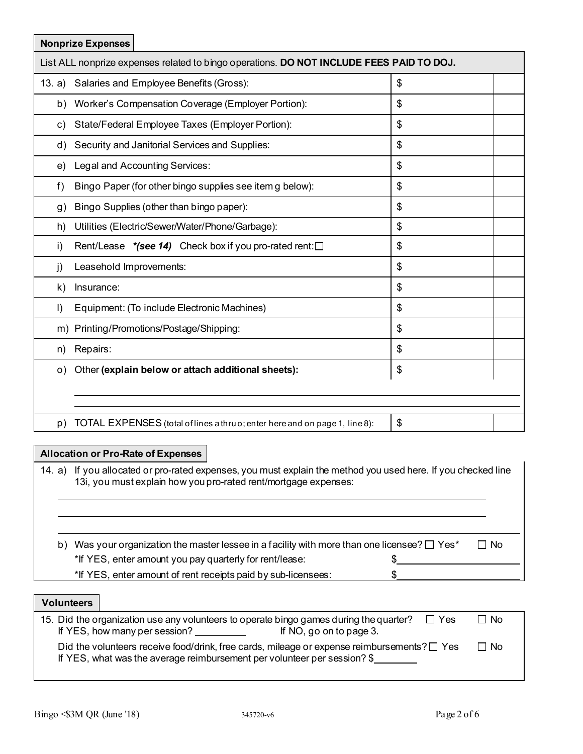| <b>Nonprize Expenses</b>                                                                 |               |
|------------------------------------------------------------------------------------------|---------------|
| List ALL nonprize expenses related to bingo operations. DO NOT INCLUDE FEES PAID TO DOJ. |               |
| Salaries and Employee Benefits (Gross):<br>13. a)                                        | \$            |
| Worker's Compensation Coverage (Employer Portion):<br>b)                                 | \$            |
| State/Federal Employee Taxes (Employer Portion):<br>c)                                   | \$            |
| Security and Janitorial Services and Supplies:<br>d)                                     | \$            |
| Legal and Accounting Services:<br>e)                                                     | \$            |
| Bingo Paper (for other bingo supplies see item g below):<br>f)                           | \$            |
| Bingo Supplies (other than bingo paper):<br>g)                                           | \$            |
| Utilities (Electric/Sewer/Water/Phone/Garbage):<br>h)                                    | \$            |
| Rent/Lease $*(see 14)$ Check box if you pro-rated rent: $\square$<br>i)                  | \$            |
| Leasehold Improvements:<br>j)                                                            | \$            |
| k)<br>Insurance:                                                                         | \$            |
| Equipment: (To include Electronic Machines)<br>$\vert$                                   | \$            |
| m) Printing/Promotions/Postage/Shipping:                                                 | \$            |
| Repairs:<br>n)                                                                           | \$            |
| Other (explain below or attach additional sheets):<br>o)                                 | $\frac{1}{2}$ |
|                                                                                          |               |
|                                                                                          |               |
| TOTAL EXPENSES (total of lines a thru o; enter here and on page 1, line 8):<br>p)        | \$            |

## **Allocation or Pro-Rate of Expenses**

14. a) If you allocated or pro-rated expenses, you must explain the method you used here. If you checked line 13i, you must explain how you pro-rated rent/mortgage expenses:

| b) Was your organization the master lessee in a facility with more than one licensee? $\Box$ Yes* | $\Box$ No |
|---------------------------------------------------------------------------------------------------|-----------|
| *If YES, enter amount you pay quarterly for rent/lease:                                           |           |
| *If YES, enter amount of rent receipts paid by sub-licensees:                                     |           |

### **Volunteers**

| 15. Did the organization use any volunteers to operate bingo games during the quarter?                                                                                          | II Yes | ∃ No |
|---------------------------------------------------------------------------------------------------------------------------------------------------------------------------------|--------|------|
| If YES, how many per session?<br>If NO, go on to page 3.                                                                                                                        |        |      |
| Did the volunteers receive food/drink, free cards, mileage or expense reimbursements? $\square$ Yes<br>If YES, what was the average reimbursement per volunteer per session? \$ |        | □ No |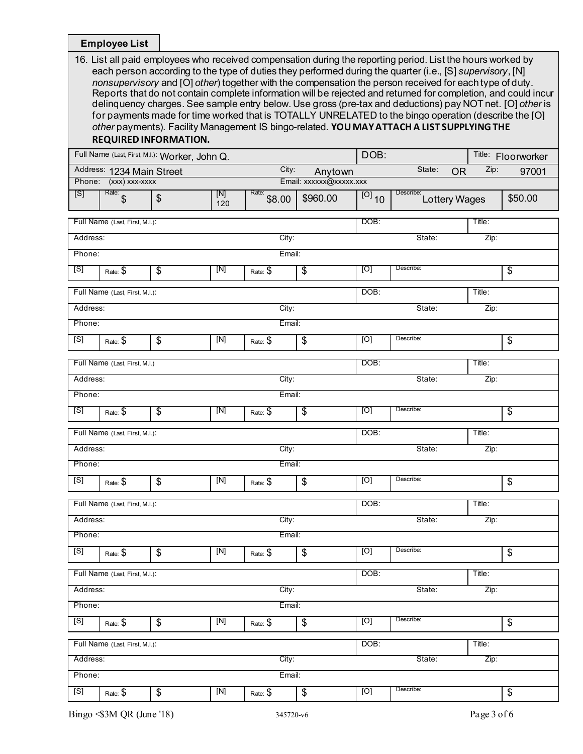**Employee List**

| 16. List all paid employees who received compensation during the reporting period. List the hours worked by    |
|----------------------------------------------------------------------------------------------------------------|
| each person according to the type of duties they performed during the quarter (i.e., [S] supervisory, [N]      |
| nonsupervisory and [O] other) together with the compensation the person received for each type of duty.        |
| Reports that do not contain complete information will be rejected and returned for completion, and could incur |
| delinguency charges. See sample entry below. Use gross (pre-tax and deductions) pay NOT net. [O] other is      |
| for payments made for time worked that is TOTALLY UNRELATED to the bingo operation (describe the [O]           |
| other payments). Facility Management IS bingo-related. YOU MAY ATTACH A LIST SUPPLYING THE                     |
| <b>REQUIRED INFORMATION</b>                                                                                    |

#### **REQUIRED INFORMATION.**

|                  |                                | Full Name (Last, First, M.I.): Worker, John Q. |                  |                       |                                           | DOB:                |                            |        | Title: Floorworker       |
|------------------|--------------------------------|------------------------------------------------|------------------|-----------------------|-------------------------------------------|---------------------|----------------------------|--------|--------------------------|
|                  | Address: 1234 Main Street      |                                                |                  | City:                 | Anytown                                   |                     | State:<br><b>OR</b>        | Zip:   | 97001                    |
|                  | Phone: (xxx) xxx-xxxx          |                                                |                  |                       | Email: xxxxxx@xxxxx.xxx                   |                     |                            |        |                          |
| [S]              | Rate: $\int$                   | $\frac{1}{2}$                                  | [N]<br>120       | Rate: \$8.00          | \$960.00                                  | $\overline{[0]}$ 10 | Describe:<br>Lottery Wages |        | \$50.00                  |
|                  | Full Name (Last, First, M.I.): |                                                |                  |                       |                                           | DOB:                |                            | Title: |                          |
| Address:         |                                |                                                |                  | City:                 |                                           |                     | State:                     | Zip:   |                          |
| Phone:           |                                |                                                |                  | Email:                |                                           |                     |                            |        |                          |
| [S]              | Rate: \$                       | $\overline{\mathbf{e}}$                        | [N]              | Rate: \$              | $\overline{\$}$                           | [O]                 | Describe:                  |        | $\overline{\mathcal{G}}$ |
|                  | Full Name (Last, First, M.I.): |                                                |                  |                       |                                           | DOB:                |                            | Title: |                          |
| Address:         |                                |                                                |                  | City:                 |                                           |                     | State:                     | Zip:   |                          |
| Phone:           |                                |                                                |                  | Email:                |                                           |                     |                            |        |                          |
| [S]              | Rate: \$                       | \$                                             | [N]              | Rate: \$              | \$                                        | [0]                 | Describe:                  |        | \$                       |
|                  | Full Name (Last, First, M.I.)  |                                                |                  |                       |                                           | DOB:                |                            | Title: |                          |
| Address:         |                                |                                                |                  | City:                 |                                           |                     | State:                     | Zip:   |                          |
| Phone:           |                                |                                                |                  | Email:                |                                           |                     |                            |        |                          |
| [S]              | Rate: $\overline{\$}$          | $\overline{\mathcal{G}}$                       | [N]              | Rate: $\overline{\$}$ | $\overline{\$}$                           | [O]                 | Describe:                  |        | \$                       |
|                  | Full Name (Last, First, M.I.): |                                                |                  |                       |                                           | DOB:                |                            | Title: |                          |
| Address:         |                                |                                                |                  | City:                 |                                           |                     | State:                     | Zip:   |                          |
| Phone:           |                                |                                                |                  | Email:                |                                           |                     |                            |        |                          |
| [S]              | Rate: \$                       | \$                                             | [N]              | Rate: \$              | \$                                        | [O]                 | Describe:                  |        | \$                       |
|                  | Full Name (Last, First, M.I.): |                                                |                  |                       |                                           | DOB:                |                            | Title: |                          |
| Address:         |                                |                                                |                  | City:                 |                                           |                     | State:                     | Zip:   |                          |
| Phone:           |                                |                                                |                  | Email:                |                                           |                     |                            |        |                          |
| [S]              | Rate: $$$                      | \$                                             | $\overline{[N]}$ | Rate: $$$             | \$                                        | [O]                 | Describe:                  |        | \$                       |
|                  | Full Name (Last, First, M.I.): |                                                |                  |                       |                                           | DOB:                |                            | Title: |                          |
| Address:         |                                |                                                |                  | City:                 |                                           |                     | State:                     | Zip:   |                          |
| Phone:           |                                |                                                |                  | Email:                |                                           |                     |                            |        |                          |
| [S]              | Rate: \$                       | \$                                             | [N]              | Rate: \$              | $\, \, \raisebox{12pt}{$\scriptstyle \$}$ | [O]                 | Describe:                  |        | \$                       |
|                  | Full Name (Last, First, M.I.): |                                                |                  |                       |                                           | DOB:                |                            | Title: |                          |
| Address:         |                                |                                                |                  | City:                 |                                           |                     | State:                     | Zip:   |                          |
| Email:<br>Phone: |                                |                                                |                  |                       |                                           |                     |                            |        |                          |
| [S]              | Rate: \$                       | \$                                             | $[N]$            | Rate: \$              | $\overline{\mathbf{e}}$                   | [O]                 | Describe:                  |        | \$                       |
|                  |                                |                                                |                  |                       |                                           |                     |                            |        |                          |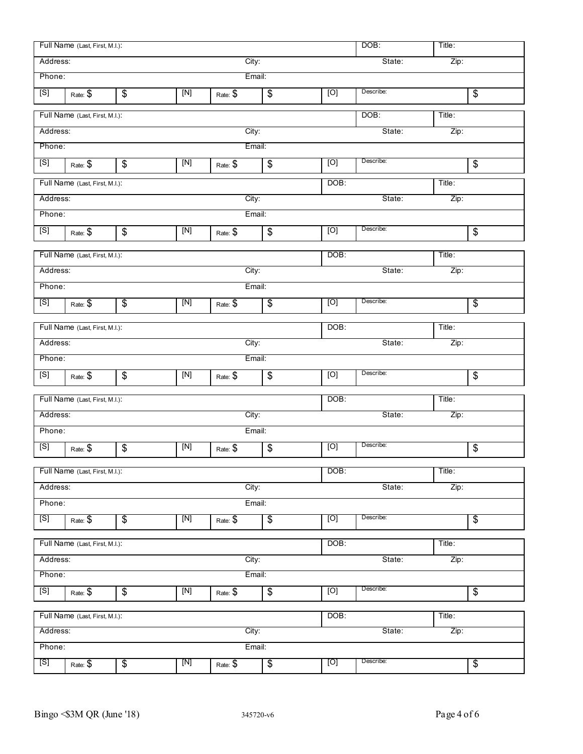|          | Full Name (Last, First, M.I.): |                           |                      |           |                          |      | DOB:      | Title: |                          |
|----------|--------------------------------|---------------------------|----------------------|-----------|--------------------------|------|-----------|--------|--------------------------|
| Address: |                                |                           |                      | City:     |                          |      | State:    | Zip:   |                          |
| Phone:   |                                |                           |                      | Email:    |                          |      |           |        |                          |
| [S]      | Rate: \$                       | \$                        | $\boxed{\text{[N]}}$ | Rate: \$  | \$                       | [O]  | Describe: |        | $\overline{\mathcal{G}}$ |
|          | Full Name (Last, First, M.I.): |                           |                      |           |                          |      | DOB:      | Title: |                          |
| Address: |                                |                           |                      | City:     |                          |      | State:    | Zip:   |                          |
| Phone:   |                                |                           |                      | Email:    |                          |      |           |        |                          |
| [S]      | Rate: \$                       | $\frac{1}{2}$             | $[{\sf N}]$          | Rate: \$  | \$                       | [O]  | Describe: |        | \$                       |
|          | Full Name (Last, First, M.I.): |                           |                      |           |                          | DOB: |           | Title: |                          |
| Address: |                                |                           |                      | City:     |                          |      | State:    | Zip:   |                          |
| Phone:   |                                |                           |                      | Email:    |                          |      |           |        |                          |
| [S]      | Rate: \$                       | \$                        | $[N]$                | Rate: \$  | \$                       | [O]  | Describe: |        | \$                       |
|          | Full Name (Last, First, M.I.): |                           |                      |           |                          | DOB: |           | Title: |                          |
| Address: |                                |                           |                      | City:     |                          |      | State:    | Zip:   |                          |
| Phone:   |                                |                           |                      | Email:    |                          |      |           |        |                          |
| [S]      | Rate: \$                       | $\overline{\$}$           | [N]                  | Rate: \$  | $\overline{\mathbf{e}}$  | [O]  | Describe: |        | $\overline{\mathcal{S}}$ |
|          | Full Name (Last, First, M.I.): |                           |                      |           |                          | DOB: |           | Title: |                          |
| Address: |                                |                           |                      | City:     |                          |      | State:    | Zip:   |                          |
| Phone:   |                                |                           |                      | Email:    |                          |      |           |        |                          |
| [S]      | Rate: \$                       | $\boldsymbol{\mathsf{S}}$ | [N]                  | Rate: \$  | $\$\$                    | [O]  | Describe: |        | \$                       |
|          | Full Name (Last, First, M.I.): |                           |                      |           |                          | DOB: |           | Title: |                          |
| Address: |                                |                           |                      | City:     |                          |      | State:    | Zip:   |                          |
| Phone:   |                                |                           |                      | Email:    |                          |      |           |        |                          |
| [S]      | Rate: \$                       | \$                        | $[{\sf N}]$          | Rate: \$  | \$                       | [O]  | Describe: |        | \$                       |
|          | Full Name (Last, First, M.I.): |                           |                      |           |                          | DOB: |           | Title: |                          |
| Address: |                                |                           |                      | City:     |                          |      | State:    | Zip:   |                          |
| Phone:   |                                |                           |                      | Email:    |                          |      |           |        |                          |
| [S]      | Rate: \$                       | $\overline{\$}$           | [N]                  | Rate: $$$ | $\overline{\$}$          | [O]  | Describe: |        | $\overline{\mathcal{G}}$ |
|          | Full Name (Last, First, M.I.): |                           |                      |           |                          | DOB: |           | Title: |                          |
| Address: |                                |                           |                      | City:     |                          |      | State:    | Zip:   |                          |
| Phone:   |                                |                           |                      | Email:    |                          |      |           |        |                          |
| [S]      | Rate: \$                       | $\overline{\mathbf{e}}$   | $[N]$                | Rate: \$  | $\overline{\mathbf{e}}$  | [O]  | Describe: |        | \$                       |
|          | Full Name (Last, First, M.I.): |                           |                      |           |                          | DOB: |           | Title: |                          |
| Address: |                                |                           |                      | City:     |                          |      | State:    | Zip:   |                          |
| Phone:   |                                |                           |                      | Email:    |                          |      |           |        |                          |
| [S]      | Rate: \$                       | $\overline{\mathbf{e}}$   | [N]                  | Rate: \$  | $\overline{\mathcal{E}}$ | [O]  | Describe: |        | $\overline{\mathcal{G}}$ |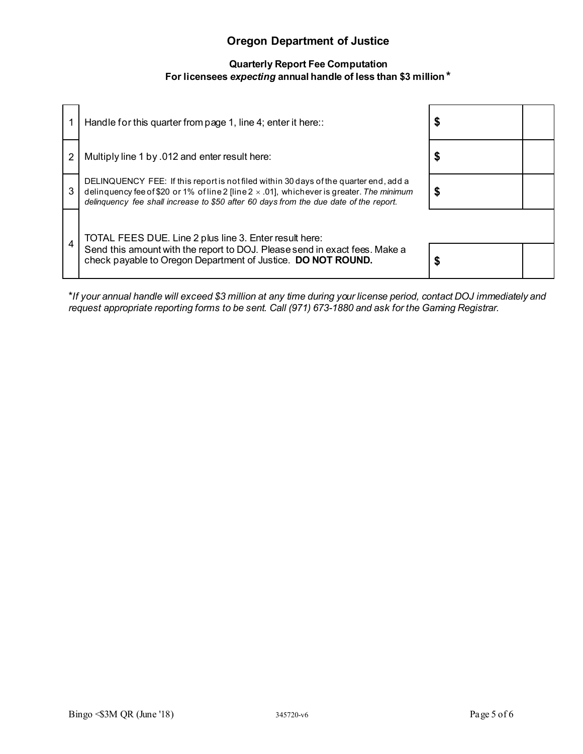# **Oregon Department of Justice**

## **Quarterly Report Fee Computation For licensees** *expecting* **annual handle of less than \$3 million \***

|                | Handle for this quarter from page 1, line 4; enter it here::                                                                                                                                                                                                                        |  |
|----------------|-------------------------------------------------------------------------------------------------------------------------------------------------------------------------------------------------------------------------------------------------------------------------------------|--|
| 2              | Multiply line 1 by .012 and enter result here:                                                                                                                                                                                                                                      |  |
| 3              | DELINQUENCY FEE: If this report is not filed within 30 days of the quarter end, add a<br>delinquency fee of \$20 or 1% of line 2 [line $2 \times .01$ ], whichever is greater. The minimum<br>delinquency fee shall increase to \$50 after 60 days from the due date of the report. |  |
| $\overline{4}$ | TOTAL FEES DUE. Line 2 plus line 3. Enter result here:<br>Send this amount with the report to DOJ. Please send in exact fees. Make a<br>check payable to Oregon Department of Justice. DO NOT ROUND.                                                                                |  |

\**If your annual handle will exceed \$3 million at any time during your license period, contact DOJ immediately and request appropriate reporting forms to be sent. Call (971) 673-1880 and ask for the Gaming Registrar.*